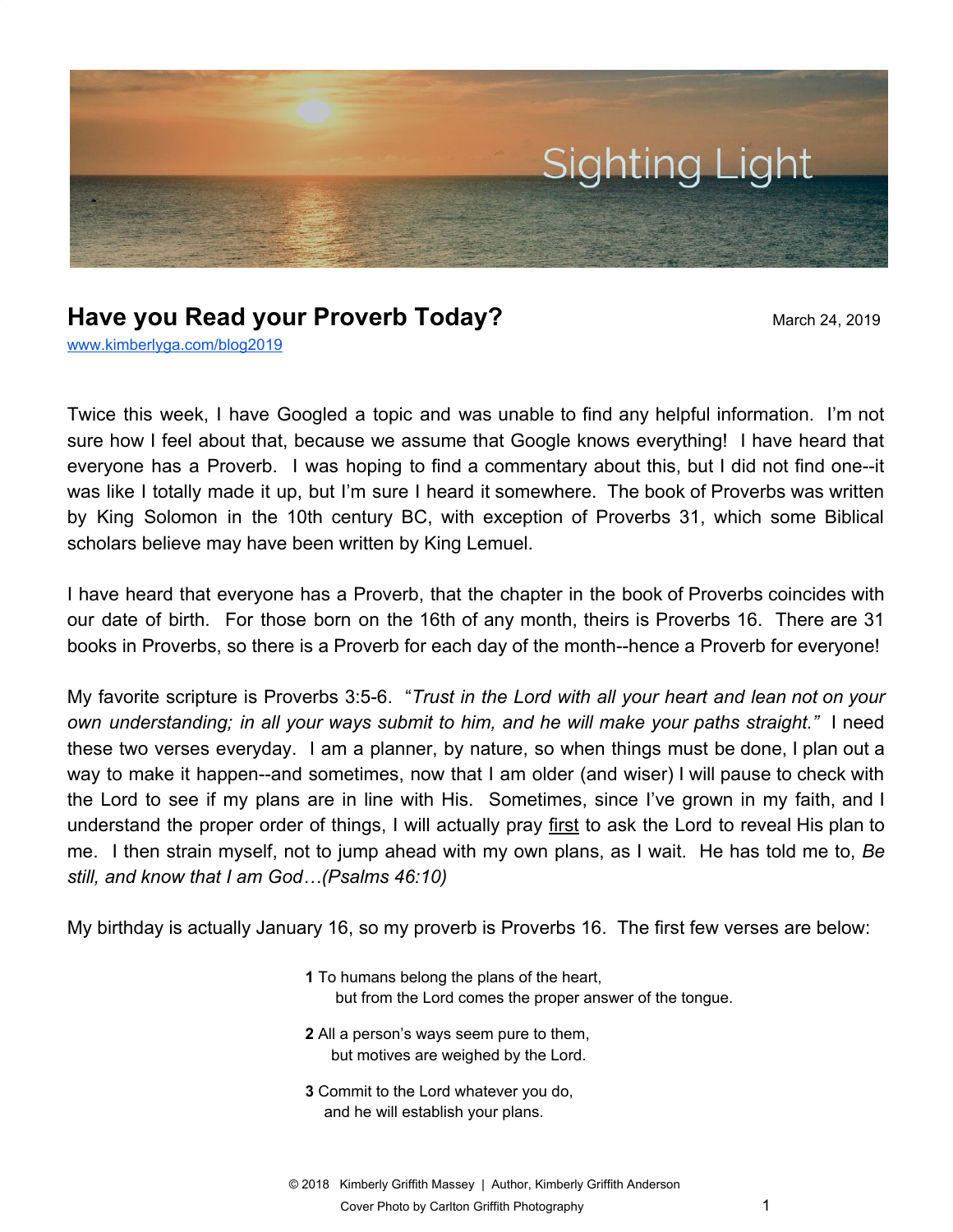

## **Have you Read your Proverb Today?** March 24, 2019

[www.kimberlyga.com/blog2019](http://www.kimberlyga.com/blog)

Twice this week, I have Googled a topic and was unable to find any helpful information. I'm not sure how I feel about that, because we assume that Google knows everything! I have heard that everyone has a Proverb. I was hoping to find a commentary about this, but I did not find one--it was like I totally made it up, but I'm sure I heard it somewhere. The book of Proverbs was written by King Solomon in the 10th century BC, with exception of Proverbs 31, which some Biblical scholars believe may have been written by King Lemuel.

I have heard that everyone has a Proverb, that the chapter in the book of Proverbs coincides with our date of birth. For those born on the 16th of any month, theirs is Proverbs 16. There are 31 books in Proverbs, so there is a Proverb for each day of the month--hence a Proverb for everyone!

My favorite scripture is Proverbs 3:5-6. "*Trust in the Lord with all your heart and lean not on your own understanding; in all your ways submit to him, and he will make your paths straight."* I need these two verses everyday. I am a planner, by nature, so when things must be done, I plan out a way to make it happen--and sometimes, now that I am older (and wiser) I will pause to check with the Lord to see if my plans are in line with His. Sometimes, since I've grown in my faith, and I understand the proper order of things, I will actually pray first to ask the Lord to reveal His plan to me. I then strain myself, not to jump ahead with my own plans, as I wait. He has told me to, *Be still, and know that I am God…(Psalms 46:10)*

My birthday is actually January 16, so my proverb is Proverbs 16. The first few verses are below:

- **1** To humans belong the plans of the heart, but from the Lord comes the proper answer of the tongue.
- **2** All a person's ways seem pure to them, but motives are weighed by the Lord.
- **3** Commit to the Lord whatever you do, and he will establish your plans.